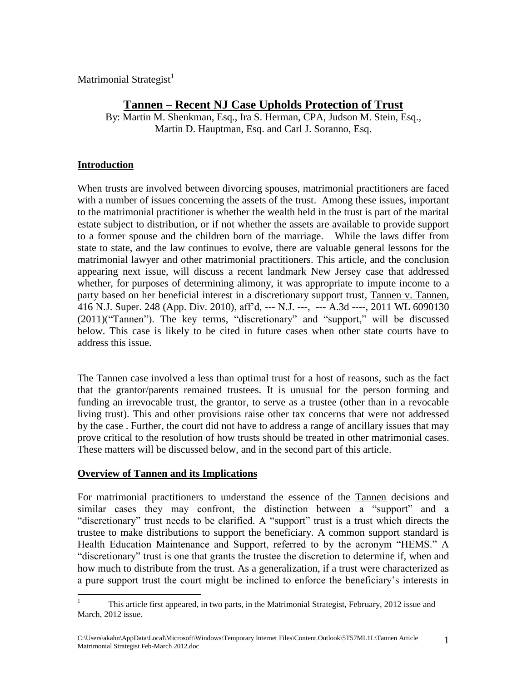Matrimonial Strategist<sup>1</sup>

# **Tannen – Recent NJ Case Upholds Protection of Trust**

By: Martin M. Shenkman, Esq., Ira S. Herman, CPA, Judson M. Stein, Esq., Martin D. Hauptman, Esq. and Carl J. Soranno, Esq.

### **Introduction**

When trusts are involved between divorcing spouses, matrimonial practitioners are faced with a number of issues concerning the assets of the trust. Among these issues, important to the matrimonial practitioner is whether the wealth held in the trust is part of the marital estate subject to distribution, or if not whether the assets are available to provide support to a former spouse and the children born of the marriage. While the laws differ from state to state, and the law continues to evolve, there are valuable general lessons for the matrimonial lawyer and other matrimonial practitioners. This article, and the conclusion appearing next issue, will discuss a recent landmark New Jersey case that addressed whether, for purposes of determining alimony, it was appropriate to impute income to a party based on her beneficial interest in a discretionary support trust, Tannen v. Tannen, 416 N.J. Super. 248 (App. Div. 2010), aff'd, --- N.J. ---, --- A.3d ----, 2011 WL 6090130 (2011)("Tannen"). The key terms, "discretionary" and "support," will be discussed below. This case is likely to be cited in future cases when other state courts have to address this issue.

The Tannen case involved a less than optimal trust for a host of reasons, such as the fact that the grantor/parents remained trustees. It is unusual for the person forming and funding an irrevocable trust, the grantor, to serve as a trustee (other than in a revocable living trust). This and other provisions raise other tax concerns that were not addressed by the case . Further, the court did not have to address a range of ancillary issues that may prove critical to the resolution of how trusts should be treated in other matrimonial cases. These matters will be discussed below, and in the second part of this article.

### **Overview of Tannen and its Implications**

For matrimonial practitioners to understand the essence of the Tannen decisions and similar cases they may confront, the distinction between a "support" and a "discretionary" trust needs to be clarified. A "support" trust is a trust which directs the trustee to make distributions to support the beneficiary. A common support standard is Health Education Maintenance and Support, referred to by the acronym "HEMS." A "discretionary" trust is one that grants the trustee the discretion to determine if, when and how much to distribute from the trust. As a generalization, if a trust were characterized as a pure support trust the court might be inclined to enforce the beneficiary's interests in

 $\mathbf{1}$ <sup>1</sup> This article first appeared, in two parts, in the Matrimonial Strategist, February, 2012 issue and March, 2012 issue.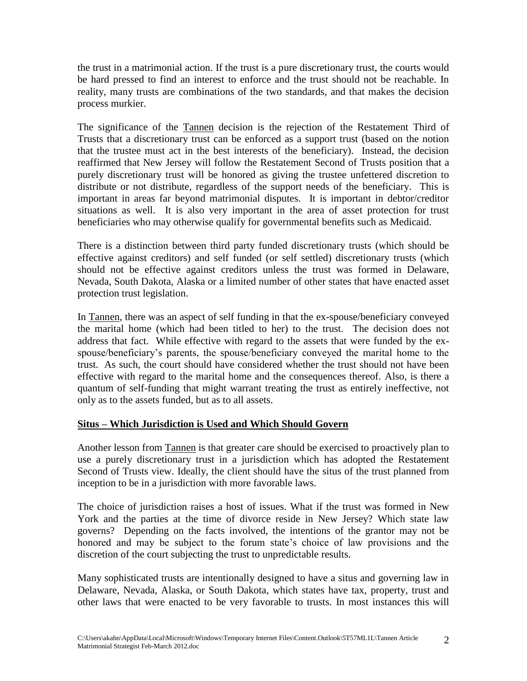the trust in a matrimonial action. If the trust is a pure discretionary trust, the courts would be hard pressed to find an interest to enforce and the trust should not be reachable. In reality, many trusts are combinations of the two standards, and that makes the decision process murkier.

The significance of the Tannen decision is the rejection of the Restatement Third of Trusts that a discretionary trust can be enforced as a support trust (based on the notion that the trustee must act in the best interests of the beneficiary). Instead, the decision reaffirmed that New Jersey will follow the Restatement Second of Trusts position that a purely discretionary trust will be honored as giving the trustee unfettered discretion to distribute or not distribute, regardless of the support needs of the beneficiary. This is important in areas far beyond matrimonial disputes. It is important in debtor/creditor situations as well. It is also very important in the area of asset protection for trust beneficiaries who may otherwise qualify for governmental benefits such as Medicaid.

There is a distinction between third party funded discretionary trusts (which should be effective against creditors) and self funded (or self settled) discretionary trusts (which should not be effective against creditors unless the trust was formed in Delaware, Nevada, South Dakota, Alaska or a limited number of other states that have enacted asset protection trust legislation.

In Tannen, there was an aspect of self funding in that the ex-spouse/beneficiary conveyed the marital home (which had been titled to her) to the trust. The decision does not address that fact. While effective with regard to the assets that were funded by the exspouse/beneficiary's parents, the spouse/beneficiary conveyed the marital home to the trust. As such, the court should have considered whether the trust should not have been effective with regard to the marital home and the consequences thereof. Also, is there a quantum of self-funding that might warrant treating the trust as entirely ineffective, not only as to the assets funded, but as to all assets.

### **Situs – Which Jurisdiction is Used and Which Should Govern**

Another lesson from Tannen is that greater care should be exercised to proactively plan to use a purely discretionary trust in a jurisdiction which has adopted the Restatement Second of Trusts view. Ideally, the client should have the situs of the trust planned from inception to be in a jurisdiction with more favorable laws.

The choice of jurisdiction raises a host of issues. What if the trust was formed in New York and the parties at the time of divorce reside in New Jersey? Which state law governs? Depending on the facts involved, the intentions of the grantor may not be honored and may be subject to the forum state's choice of law provisions and the discretion of the court subjecting the trust to unpredictable results.

Many sophisticated trusts are intentionally designed to have a situs and governing law in Delaware, Nevada, Alaska, or South Dakota, which states have tax, property, trust and other laws that were enacted to be very favorable to trusts. In most instances this will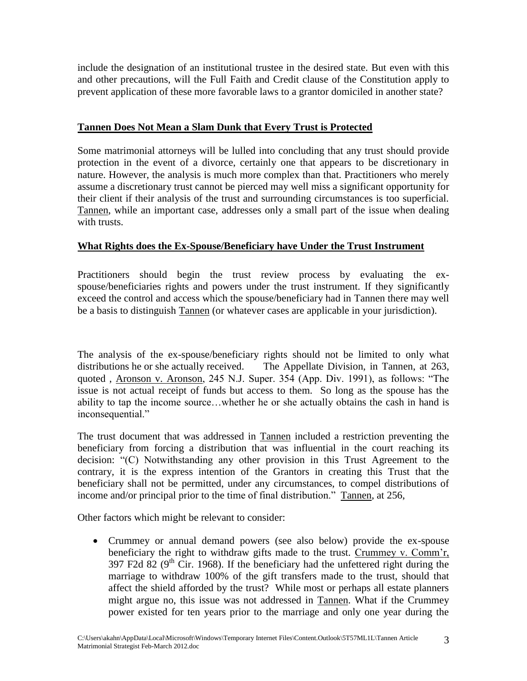include the designation of an institutional trustee in the desired state. But even with this and other precautions, will the Full Faith and Credit clause of the Constitution apply to prevent application of these more favorable laws to a grantor domiciled in another state?

### **Tannen Does Not Mean a Slam Dunk that Every Trust is Protected**

Some matrimonial attorneys will be lulled into concluding that any trust should provide protection in the event of a divorce, certainly one that appears to be discretionary in nature. However, the analysis is much more complex than that. Practitioners who merely assume a discretionary trust cannot be pierced may well miss a significant opportunity for their client if their analysis of the trust and surrounding circumstances is too superficial. Tannen, while an important case, addresses only a small part of the issue when dealing with trusts.

#### **What Rights does the Ex-Spouse/Beneficiary have Under the Trust Instrument**

Practitioners should begin the trust review process by evaluating the exspouse/beneficiaries rights and powers under the trust instrument. If they significantly exceed the control and access which the spouse/beneficiary had in Tannen there may well be a basis to distinguish Tannen (or whatever cases are applicable in your jurisdiction).

The analysis of the ex-spouse/beneficiary rights should not be limited to only what distributions he or she actually received. The Appellate Division, in Tannen, at 263, quoted , Aronson v. Aronson, 245 N.J. Super. 354 (App. Div. 1991), as follows: "The issue is not actual receipt of funds but access to them. So long as the spouse has the ability to tap the income source…whether he or she actually obtains the cash in hand is inconsequential."

The trust document that was addressed in Tannen included a restriction preventing the beneficiary from forcing a distribution that was influential in the court reaching its decision: "(C) Notwithstanding any other provision in this Trust Agreement to the contrary*,* it is the express intention of the Grantors in creating this Trust that the beneficiary shall not be permitted, under any circumstances, to compel distributions of income and/or principal prior to the time of final distribution." Tannen, at 256,

Other factors which might be relevant to consider:

 Crummey or annual demand powers (see also below) provide the ex-spouse beneficiary the right to withdraw gifts made to the trust. Crummey v. Comm'r, 397 F2d 82 ( $9<sup>th</sup>$  Cir. 1968). If the beneficiary had the unfettered right during the marriage to withdraw 100% of the gift transfers made to the trust, should that affect the shield afforded by the trust? While most or perhaps all estate planners might argue no, this issue was not addressed in Tannen. What if the Crummey power existed for ten years prior to the marriage and only one year during the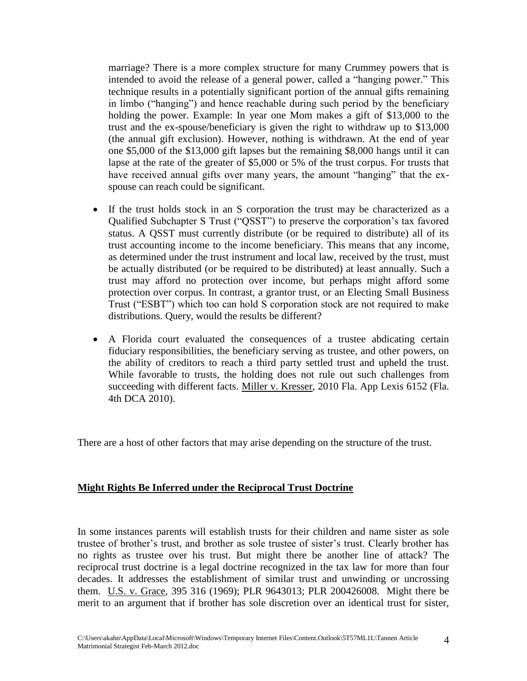marriage? There is a more complex structure for many Crummey powers that is intended to avoid the release of a general power, called a "hanging power." This technique results in a potentially significant portion of the annual gifts remaining in limbo ("hanging") and hence reachable during such period by the beneficiary holding the power. Example: In year one Mom makes a gift of \$13,000 to the trust and the ex-spouse/beneficiary is given the right to withdraw up to \$13,000 (the annual gift exclusion). However, nothing is withdrawn. At the end of year one \$5,000 of the \$13,000 gift lapses but the remaining \$8,000 hangs until it can lapse at the rate of the greater of \$5,000 or 5% of the trust corpus. For trusts that have received annual gifts over many years, the amount "hanging" that the exspouse can reach could be significant.

- If the trust holds stock in an S corporation the trust may be characterized as a Qualified Subchapter S Trust ("QSST") to preserve the corporation's tax favored status. A QSST must currently distribute (or be required to distribute) all of its trust accounting income to the income beneficiary. This means that any income, as determined under the trust instrument and local law, received by the trust, must be actually distributed (or be required to be distributed) at least annually. Such a trust may afford no protection over income, but perhaps might afford some protection over corpus. In contrast, a grantor trust, or an Electing Small Business Trust ("ESBT") which too can hold S corporation stock are not required to make distributions. Query, would the results be different?
- A Florida court evaluated the consequences of a trustee abdicating certain fiduciary responsibilities, the beneficiary serving as trustee, and other powers, on the ability of creditors to reach a third party settled trust and upheld the trust. While favorable to trusts, the holding does not rule out such challenges from succeeding with different facts. Miller v. Kresser, 2010 Fla. App Lexis 6152 (Fla. 4th DCA 2010).

There are a host of other factors that may arise depending on the structure of the trust.

#### **Might Rights Be Inferred under the Reciprocal Trust Doctrine**

In some instances parents will establish trusts for their children and name sister as sole trustee of brother's trust, and brother as sole trustee of sister's trust. Clearly brother has no rights as trustee over his trust. But might there be another line of attack? The reciprocal trust doctrine is a legal doctrine recognized in the tax law for more than four decades. It addresses the establishment of similar trust and unwinding or uncrossing them. U.S. v. Grace, 395 316 (1969); PLR 9643013; PLR 200426008. Might there be merit to an argument that if brother has sole discretion over an identical trust for sister,

4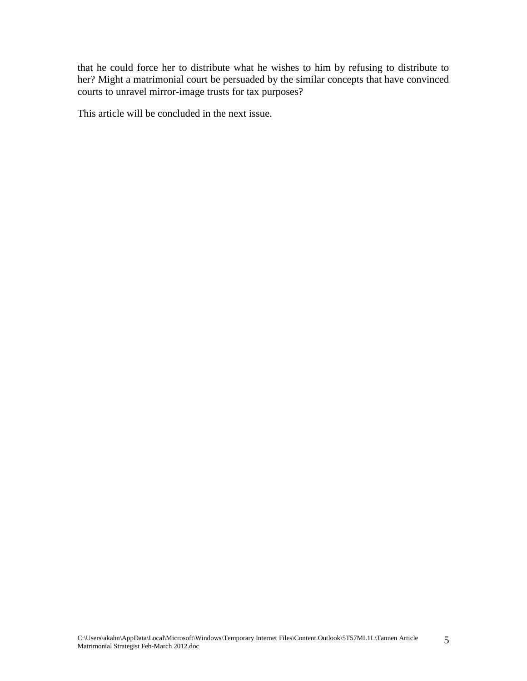that he could force her to distribute what he wishes to him by refusing to distribute to her? Might a matrimonial court be persuaded by the similar concepts that have convinced courts to unravel mirror-image trusts for tax purposes?

This article will be concluded in the next issue.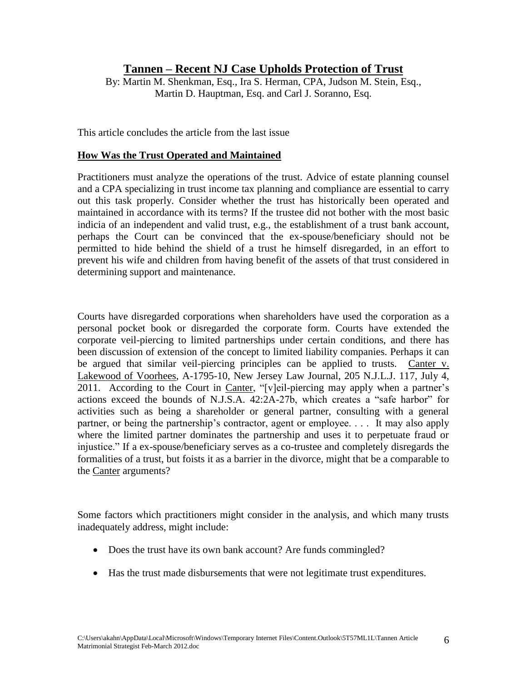## **Tannen – Recent NJ Case Upholds Protection of Trust**

By: Martin M. Shenkman, Esq., Ira S. Herman, CPA, Judson M. Stein, Esq., Martin D. Hauptman, Esq. and Carl J. Soranno, Esq.

This article concludes the article from the last issue

#### **How Was the Trust Operated and Maintained**

Practitioners must analyze the operations of the trust. Advice of estate planning counsel and a CPA specializing in trust income tax planning and compliance are essential to carry out this task properly. Consider whether the trust has historically been operated and maintained in accordance with its terms? If the trustee did not bother with the most basic indicia of an independent and valid trust, e.g., the establishment of a trust bank account, perhaps the Court can be convinced that the ex-spouse/beneficiary should not be permitted to hide behind the shield of a trust he himself disregarded, in an effort to prevent his wife and children from having benefit of the assets of that trust considered in determining support and maintenance.

Courts have disregarded corporations when shareholders have used the corporation as a personal pocket book or disregarded the corporate form. Courts have extended the corporate veil-piercing to limited partnerships under certain conditions, and there has been discussion of extension of the concept to limited liability companies. Perhaps it can be argued that similar veil-piercing principles can be applied to trusts. Canter v. Lakewood of Voorhees, A-1795-10, New Jersey Law Journal, 205 N.J.L.J. 117, July 4, 2011. According to the Court in Canter, "[v]eil-piercing may apply when a partner's actions exceed the bounds of N.J.S.A. 42:2A-27b, which creates a "safe harbor" for activities such as being a shareholder or general partner, consulting with a general partner, or being the partnership's contractor, agent or employee. . . . It may also apply where the limited partner dominates the partnership and uses it to perpetuate fraud or injustice." If a ex-spouse/beneficiary serves as a co-trustee and completely disregards the formalities of a trust, but foists it as a barrier in the divorce, might that be a comparable to the Canter arguments?

Some factors which practitioners might consider in the analysis, and which many trusts inadequately address, might include:

- Does the trust have its own bank account? Are funds commingled?
- Has the trust made disbursements that were not legitimate trust expenditures.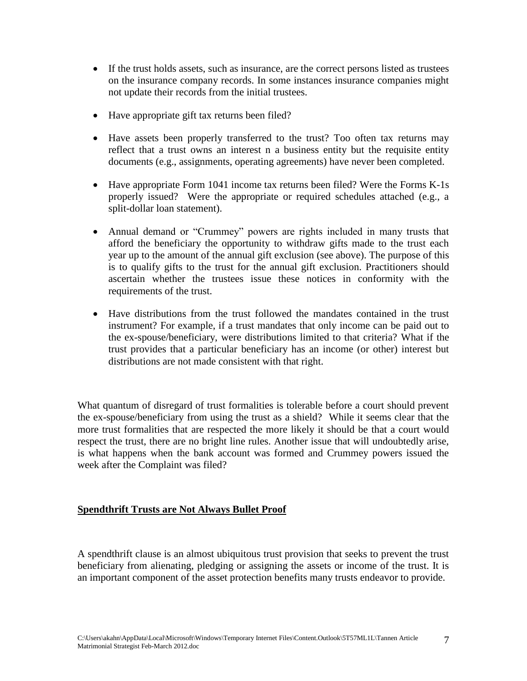- If the trust holds assets, such as insurance, are the correct persons listed as trustees on the insurance company records. In some instances insurance companies might not update their records from the initial trustees.
- Have appropriate gift tax returns been filed?
- Have assets been properly transferred to the trust? Too often tax returns may reflect that a trust owns an interest n a business entity but the requisite entity documents (e.g., assignments, operating agreements) have never been completed.
- Have appropriate Form 1041 income tax returns been filed? Were the Forms K-1s properly issued? Were the appropriate or required schedules attached (e.g., a split-dollar loan statement).
- Annual demand or "Crummey" powers are rights included in many trusts that afford the beneficiary the opportunity to withdraw gifts made to the trust each year up to the amount of the annual gift exclusion (see above). The purpose of this is to qualify gifts to the trust for the annual gift exclusion. Practitioners should ascertain whether the trustees issue these notices in conformity with the requirements of the trust.
- Have distributions from the trust followed the mandates contained in the trust instrument? For example, if a trust mandates that only income can be paid out to the ex-spouse/beneficiary, were distributions limited to that criteria? What if the trust provides that a particular beneficiary has an income (or other) interest but distributions are not made consistent with that right.

What quantum of disregard of trust formalities is tolerable before a court should prevent the ex-spouse/beneficiary from using the trust as a shield? While it seems clear that the more trust formalities that are respected the more likely it should be that a court would respect the trust, there are no bright line rules. Another issue that will undoubtedly arise, is what happens when the bank account was formed and Crummey powers issued the week after the Complaint was filed?

#### **Spendthrift Trusts are Not Always Bullet Proof**

A spendthrift clause is an almost ubiquitous trust provision that seeks to prevent the trust beneficiary from alienating, pledging or assigning the assets or income of the trust. It is an important component of the asset protection benefits many trusts endeavor to provide.